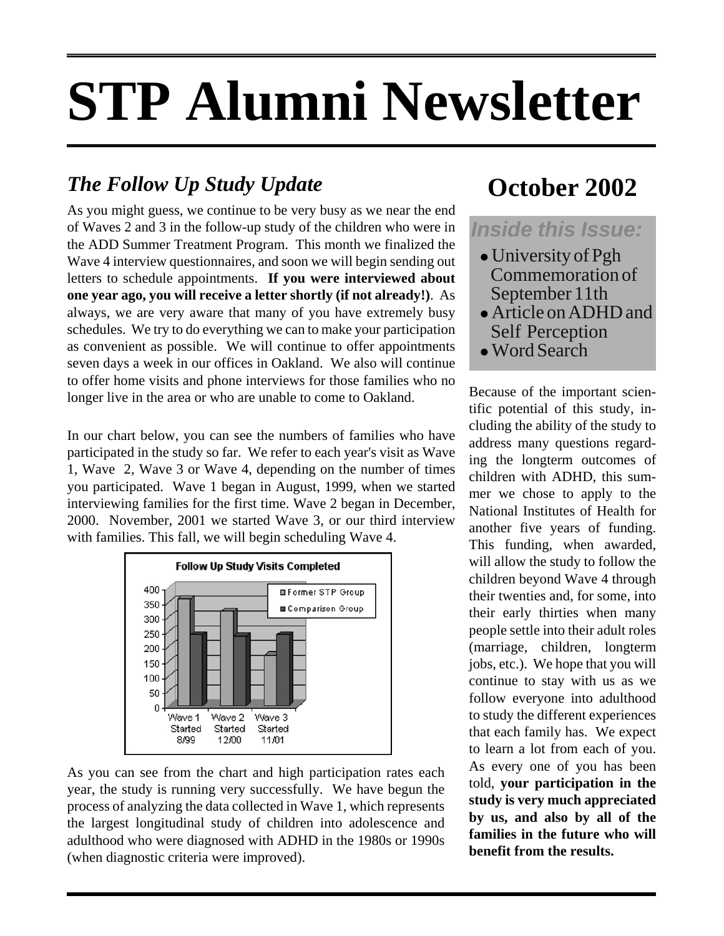# **STP Alumni Newsletter**

### *The Follow Up Study Update*

As you might guess, we continue to be very busy as we near the end of Waves 2 and 3 in the follow-up study of the children who were in the ADD Summer Treatment Program. This month we finalized the Wave 4 interview questionnaires, and soon we will begin sending out letters to schedule appointments. **If you were interviewed about one year ago, you will receive a letter shortly (if not already!)**. As always, we are very aware that many of you have extremely busy schedules. We try to do everything we can to make your participation as convenient as possible. We will continue to offer appointments seven days a week in our offices in Oakland. We also will continue to offer home visits and phone interviews for those families who no longer live in the area or who are unable to come to Oakland.

In our chart below, you can see the numbers of families who have participated in the study so far. We refer to each year's visit as Wave 1, Wave 2, Wave 3 or Wave 4, depending on the number of times you participated. Wave 1 began in August, 1999, when we started interviewing families for the first time. Wave 2 began in December, 2000. November, 2001 we started Wave 3, or our third interview with families. This fall, we will begin scheduling Wave 4.



As you can see from the chart and high participation rates each year, the study is running very successfully. We have begun the process of analyzing the data collected in Wave 1, which represents the largest longitudinal study of children into adolescence and adulthood who were diagnosed with ADHD in the 1980s or 1990s (when diagnostic criteria were improved).

## **October 2002**

#### *Inside this Issue:*

- $\bullet$  University of Pgh Commemoration of September 11th
- Article on ADHD and Self Perception
- Word Search

Because of the important scientific potential of this study, including the ability of the study to address many questions regarding the longterm outcomes of children with ADHD, this summer we chose to apply to the National Institutes of Health for another five years of funding. This funding, when awarded, will allow the study to follow the children beyond Wave 4 through their twenties and, for some, into their early thirties when many people settle into their adult roles (marriage, children, longterm jobs, etc.). We hope that you will continue to stay with us as we follow everyone into adulthood to study the different experiences that each family has. We expect to learn a lot from each of you. As every one of you has been told, **your participation in the study is very much appreciated by us, and also by all of the families in the future who will benefit from the results.**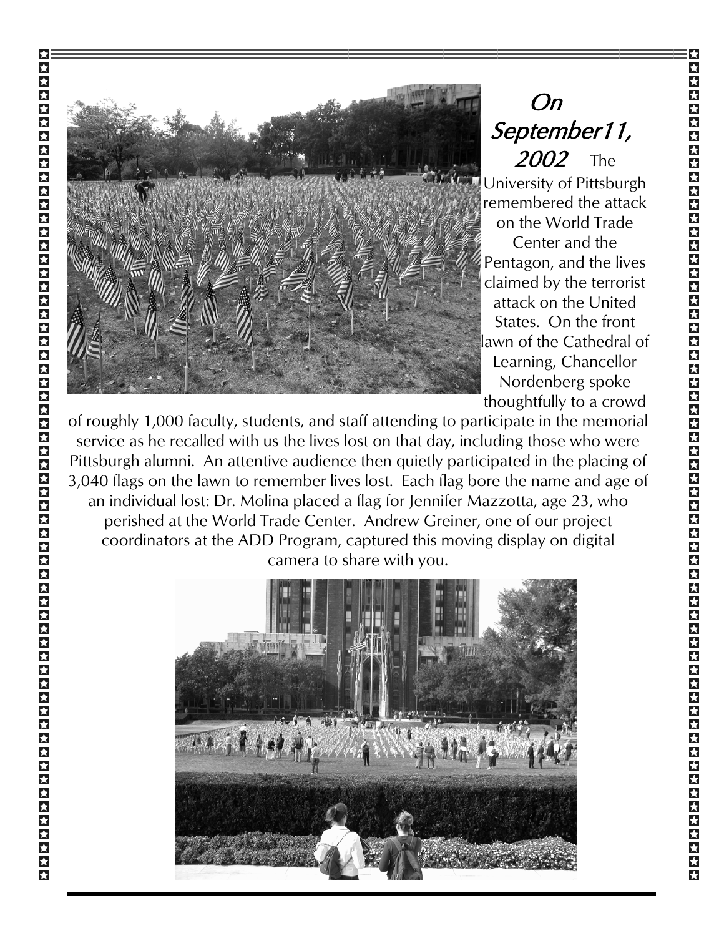

On September11, 2002 The University of Pittsburgh remembered the attack on the World Trade Center and the Pentagon, and the lives claimed by the terrorist attack on the United States. On the front awn of the Cathedral of Learning, Chancellor Nordenberg spoke thoughtfully to a crowd

of roughly 1,000 faculty, students, and staff attending to participate in the memorial service as he recalled with us the lives lost on that day, including those who were Pittsburgh alumni. An attentive audience then quietly participated in the placing of 3,040 flags on the lawn to remember lives lost. Each flag bore the name and age of an individual lost: Dr. Molina placed a flag for Jennifer Mazzotta, age 23, who perished at the World Trade Center. Andrew Greiner, one of our project coordinators at the ADD Program, captured this moving display on digital camera to share with you.

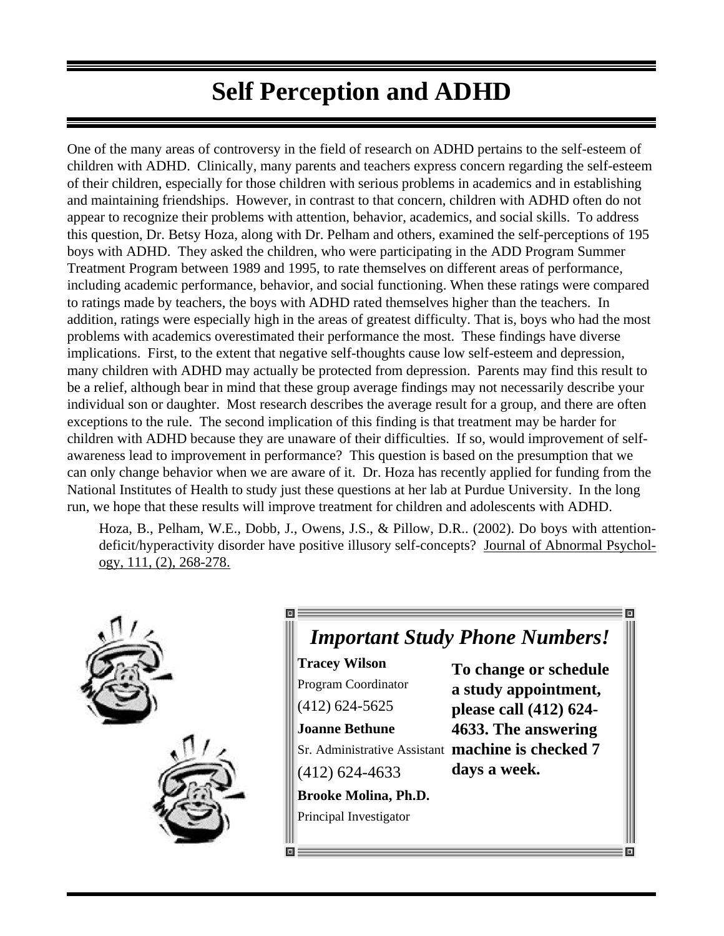## **Self Perception and ADHD**

One of the many areas of controversy in the field of research on ADHD pertains to the self-esteem of children with ADHD. Clinically, many parents and teachers express concern regarding the self-esteem of their children, especially for those children with serious problems in academics and in establishing and maintaining friendships. However, in contrast to that concern, children with ADHD often do not appear to recognize their problems with attention, behavior, academics, and social skills. To address this question, Dr. Betsy Hoza, along with Dr. Pelham and others, examined the self-perceptions of 195 boys with ADHD. They asked the children, who were participating in the ADD Program Summer Treatment Program between 1989 and 1995, to rate themselves on different areas of performance, including academic performance, behavior, and social functioning. When these ratings were compared to ratings made by teachers, the boys with ADHD rated themselves higher than the teachers. In addition, ratings were especially high in the areas of greatest difficulty. That is, boys who had the most problems with academics overestimated their performance the most. These findings have diverse implications. First, to the extent that negative self-thoughts cause low self-esteem and depression, many children with ADHD may actually be protected from depression. Parents may find this result to be a relief, although bear in mind that these group average findings may not necessarily describe your individual son or daughter. Most research describes the average result for a group, and there are often exceptions to the rule. The second implication of this finding is that treatment may be harder for children with ADHD because they are unaware of their difficulties. If so, would improvement of selfawareness lead to improvement in performance? This question is based on the presumption that we can only change behavior when we are aware of it. Dr. Hoza has recently applied for funding from the National Institutes of Health to study just these questions at her lab at Purdue University. In the long run, we hope that these results will improve treatment for children and adolescents with ADHD.

Hoza, B., Pelham, W.E., Dobb, J., Owens, J.S., & Pillow, D.R.. (2002). Do boys with attentiondeficit/hyperactivity disorder have positive illusory self-concepts? Journal of Abnormal Psychology, 111, (2), 268-278.



#### *Important Study Phone Numbers!*

**Tracey Wilson** Program Coordinator (412) 624-5625 **Joanne Bethune** Sr. Administrative Assistant **machine is checked 7** (412) 624-4633 **Brooke Molina, Ph.D.** Principal Investigator **To change or schedule a study appointment, please call (412) 624- 4633. The answering days a week.**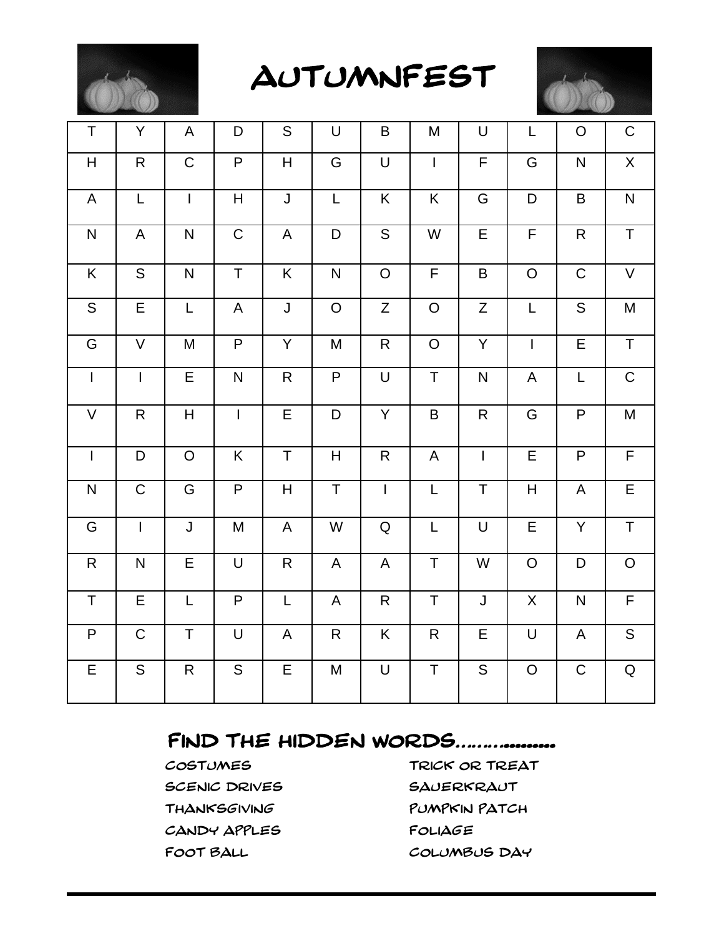

AUTUMNFEST



| T                                                                                                                                                                                                                                                                                                                                                                                                                                                        | Y              | A              | D                                                                                     | ${\mathsf S}$                                                                                               | $\sf U$                                        | B              | M                                                                                                           | $\cup$                  | L              | $\mathsf O$             | $\mathsf C$                                                                                                                                                    |
|----------------------------------------------------------------------------------------------------------------------------------------------------------------------------------------------------------------------------------------------------------------------------------------------------------------------------------------------------------------------------------------------------------------------------------------------------------|----------------|----------------|---------------------------------------------------------------------------------------|-------------------------------------------------------------------------------------------------------------|------------------------------------------------|----------------|-------------------------------------------------------------------------------------------------------------|-------------------------|----------------|-------------------------|----------------------------------------------------------------------------------------------------------------------------------------------------------------|
| $\overline{H}$                                                                                                                                                                                                                                                                                                                                                                                                                                           | $\overline{R}$ | $\overline{C}$ | $\overline{P}$                                                                        | $\overline{H}$                                                                                              | $\overline{G}$                                 | $\bigcup$      | $\overline{1}$                                                                                              | $\overline{\mathsf{F}}$ | $\overline{G}$ | $\overline{\mathsf{N}}$ | $\overline{X}$                                                                                                                                                 |
| A                                                                                                                                                                                                                                                                                                                                                                                                                                                        | L              | $\overline{1}$ | $\overline{H}$                                                                        | $\overline{\mathsf{J}}$                                                                                     | $\mathsf{L}% _{0}\left( \mathsf{L}_{0}\right)$ | K              | K                                                                                                           | G                       | D              | $\sf B$                 | $\mathsf{N}$                                                                                                                                                   |
| ${\sf N}$                                                                                                                                                                                                                                                                                                                                                                                                                                                | A              | $\mathsf{N}$   | $\overline{C}$                                                                        | $\mathsf{A}$                                                                                                | $\mathsf D$                                    | $\overline{S}$ | W                                                                                                           | E                       | $\overline{F}$ | ${\sf R}$               | $\overline{T}$                                                                                                                                                 |
| K                                                                                                                                                                                                                                                                                                                                                                                                                                                        | $\overline{S}$ | $\mathsf{N}$   | $\overline{T}$                                                                        | K                                                                                                           | $\overline{\mathsf{N}}$                        | $\overline{O}$ | $\mathsf F$                                                                                                 | B                       | $\mathsf O$    | $\mathsf C$             | V                                                                                                                                                              |
| $\overline{S}$                                                                                                                                                                                                                                                                                                                                                                                                                                           | E              | $\mathsf L$    | $\sf A$                                                                               | J                                                                                                           | $\mathsf O$                                    | $\mathsf{Z}$   | $\mathsf O$                                                                                                 | $\mathsf{Z}$            | L              | $\mathsf S$             | $\mathsf{M}% _{T}=\mathsf{M}_{T}\!\left( a,b\right) ,\ \mathsf{M}_{T}=\mathsf{M}_{T}\!\left( a,b\right) ,\ \mathsf{M}_{T}=\mathsf{M}_{T}\!\left( a,b\right) ,$ |
| ${\mathsf G}$                                                                                                                                                                                                                                                                                                                                                                                                                                            | $\mathsf V$    | M              | $\overline{P}$                                                                        | Y                                                                                                           | M                                              | ${\sf R}$      | $\mathsf{O}$                                                                                                | Y                       | $\overline{1}$ | $\overline{E}$          | $\overline{T}$                                                                                                                                                 |
| $\mathbf{I}$                                                                                                                                                                                                                                                                                                                                                                                                                                             | $\overline{1}$ | $\overline{E}$ | ${\sf N}$                                                                             | $\mathsf{R}$                                                                                                | $\overline{P}$                                 | $\cup$         | $\mathsf T$                                                                                                 | ${\sf N}$               | $\mathsf{A}$   | L                       | $\overline{C}$                                                                                                                                                 |
| $\mathsf{V}$                                                                                                                                                                                                                                                                                                                                                                                                                                             | ${\sf R}$      | H              | $\mathbf{I}$                                                                          | $\overline{E}$                                                                                              | $\mathsf D$                                    | Y              | $\sf B$                                                                                                     | $\mathsf{R}% _{T}$      | G              | P                       | ${\sf M}$                                                                                                                                                      |
| $\overline{1}$                                                                                                                                                                                                                                                                                                                                                                                                                                           | D              | $\circ$        | $\overline{K}$                                                                        | $\overline{\mathsf{T}}$                                                                                     | $\boldsymbol{\mathsf{H}}$                      | $\mathsf{R}$   | A                                                                                                           | $\mathbf{I}$            | $\overline{E}$ | $\overline{P}$          | $\overline{F}$                                                                                                                                                 |
| $\overline{\mathsf{N}}$                                                                                                                                                                                                                                                                                                                                                                                                                                  | $\overline{C}$ | $\overline{G}$ | $\overline{P}$                                                                        | H                                                                                                           | $\overline{T}$                                 | $\overline{1}$ | $\mathsf{L}% _{0}\left( \mathsf{L}_{0}\right) ^{\ast }=\mathsf{L}_{0}\left( \mathsf{L}_{0}\right) ^{\ast }$ | $\overline{\mathsf{T}}$ | H              | $\mathsf A$             | $\overline{E}$                                                                                                                                                 |
| ${\mathsf G}$                                                                                                                                                                                                                                                                                                                                                                                                                                            | $\mathbf{I}$   | $\mathsf{J}$   | $\mathsf{M}% _{T}=\mathsf{M}_{T}\!\left( a,b\right) ,\ \mathsf{M}_{T}=\mathsf{M}_{T}$ | $\mathsf{A}$                                                                                                | W                                              | ${\sf Q}$      | $\mathsf{L}$                                                                                                | $\mathsf U$             | $\overline{E}$ | Y                       | $\overline{T}$                                                                                                                                                 |
| $\mathsf{R}% _{T}=\mathsf{R}_{T}\!\left( a,b\right) ,\ \mathsf{R}_{T}=\mathsf{R}_{T}\!\left( a,b\right) ,\ \mathsf{R}_{T}=\mathsf{R}_{T}\!\left( a,b\right) ,\ \mathsf{R}_{T}=\mathsf{R}_{T}\!\left( a,b\right) ,\ \mathsf{R}_{T}=\mathsf{R}_{T}\!\left( a,b\right) ,\ \mathsf{R}_{T}=\mathsf{R}_{T}\!\left( a,b\right) ,\ \mathsf{R}_{T}=\mathsf{R}_{T}\!\left( a,b\right) ,\ \mathsf{R}_{T}=\mathsf{R}_{T}\!\left( a,b\right) ,\ \mathsf{R}_{T}=\math$ | ${\sf N}$      | $\mathsf E$    | $\cup$                                                                                | ${\sf R}$                                                                                                   | $\mathsf A$                                    | A              | $\mathsf T$                                                                                                 | W                       | $\overline{O}$ | $\mathsf D$             | ${\mathsf O}$                                                                                                                                                  |
| T                                                                                                                                                                                                                                                                                                                                                                                                                                                        | E              | $\mathsf L$    | $\overline{P}$                                                                        | $\mathsf{L}% _{0}\left( \mathsf{L}_{0}\right) ^{\ast }=\mathsf{L}_{0}\left( \mathsf{L}_{0}\right) ^{\ast }$ | A                                              | $\mathsf{R}$   | $\top$                                                                                                      | $\mathsf{J}$            | $\mathsf{X}$   | $\mathsf{N}$            | $\overline{F}$                                                                                                                                                 |
| P                                                                                                                                                                                                                                                                                                                                                                                                                                                        | $\mathsf C$    | $\mathsf T$    | $\bigcup$                                                                             | A                                                                                                           | $\mathsf{R}$                                   | K              | $\mathsf{R}$                                                                                                | E                       | $\mathsf U$    | A                       | $\overline{S}$                                                                                                                                                 |
| E                                                                                                                                                                                                                                                                                                                                                                                                                                                        | ${\sf S}$      | $\mathsf{R}$   | $\mathsf S$                                                                           | E                                                                                                           | M                                              | $\sf U$        | $\mathsf T$                                                                                                 | S                       | $\mathsf O$    | ${\bf C}$               | ${\sf Q}$                                                                                                                                                      |

#### FIND THE HIDDEN WORDS.................

SCENIC DRIVES SAUERKRAUT CANDY APPLES FOLIAGE

COSTUMES TRICK OR TREAT THANKSGIVING PUMPKIN PATCH FOOT BALL COLUMBUS DAY